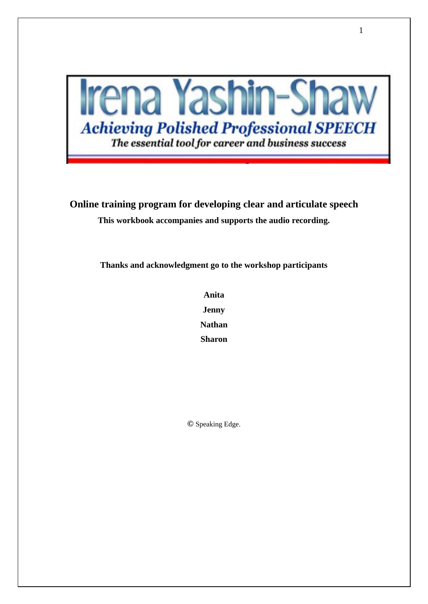

**Online training program for developing clear and articulate speech This workbook accompanies and supports the audio recording.** 

**Thanks and acknowledgment go to the workshop participants** 

**Anita Jenny Nathan Sharon**

**©** Speaking Edge.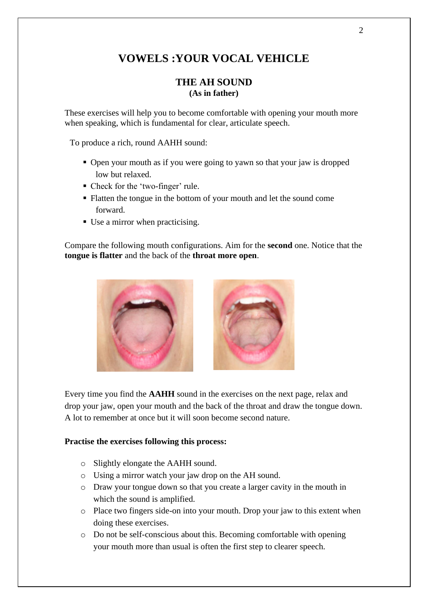# **VOWELS :YOUR VOCAL VEHICLE**

### **THE AH SOUND (As in father)**

These exercises will help you to become comfortable with opening your mouth more when speaking, which is fundamental for clear, articulate speech.

To produce a rich, round AAHH sound:

- Open your mouth as if you were going to yawn so that your jaw is dropped low but relaxed.
- Check for the 'two-finger' rule.
- Flatten the tongue in the bottom of your mouth and let the sound come forward.
- Use a mirror when practicising.

Compare the following mouth configurations. Aim for the **second** one. Notice that the **tongue is flatter** and the back of the **throat more open**.



Every time you find the **AAHH** sound in the exercises on the next page, relax and drop your jaw, open your mouth and the back of the throat and draw the tongue down. A lot to remember at once but it will soon become second nature.

#### **Practise the exercises following this process:**

- o Slightly elongate the AAHH sound.
- o Using a mirror watch your jaw drop on the AH sound.
- o Draw your tongue down so that you create a larger cavity in the mouth in which the sound is amplified.
- o Place two fingers side-on into your mouth. Drop your jaw to this extent when doing these exercises.
- o Do not be self-conscious about this. Becoming comfortable with opening your mouth more than usual is often the first step to clearer speech.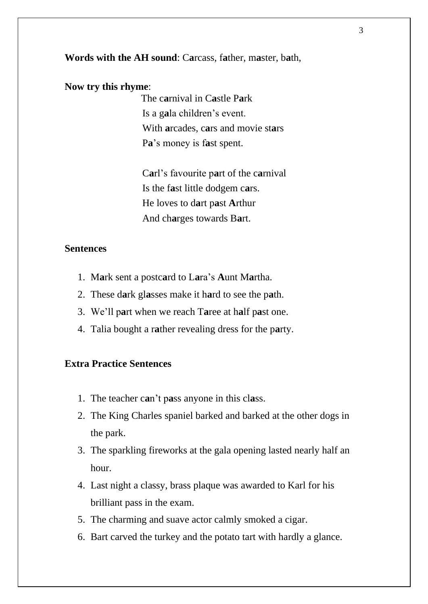**Words with the AH sound**: C**a**rcass, f**a**ther, m**a**ster, b**a**th,

#### **Now try this rhyme**:

The c**a**rnival in C**a**stle P**a**rk Is a g**a**la children's event. With **a**rcades, c**a**rs and movie st**a**rs P**a**'s money is f**a**st spent.

C**a**rl's favourite p**a**rt of the c**a**rnival Is the f**a**st little dodgem c**a**rs. He loves to d**a**rt p**a**st **A**rthur And ch**a**rges towards B**a**rt.

### **Sentences**

- 1. M**a**rk sent a postc**a**rd to L**a**ra's **A**unt M**a**rtha.
- 2. These d**a**rk gl**a**sses make it h**a**rd to see the p**a**th.
- 3. We'll p**a**rt when we reach T**a**ree at h**a**lf p**a**st one.
- 4. Talia bought a r**a**ther revealing dress for the p**a**rty.

# **Extra Practice Sentences**

- 1. The teacher c**a**n't p**a**ss anyone in this cl**a**ss.
- 2. The King Charles spaniel barked and barked at the other dogs in the park.
- 3. The sparkling fireworks at the gala opening lasted nearly half an hour.
- 4. Last night a classy, brass plaque was awarded to Karl for his brilliant pass in the exam.
- 5. The charming and suave actor calmly smoked a cigar.
- 6. Bart carved the turkey and the potato tart with hardly a glance.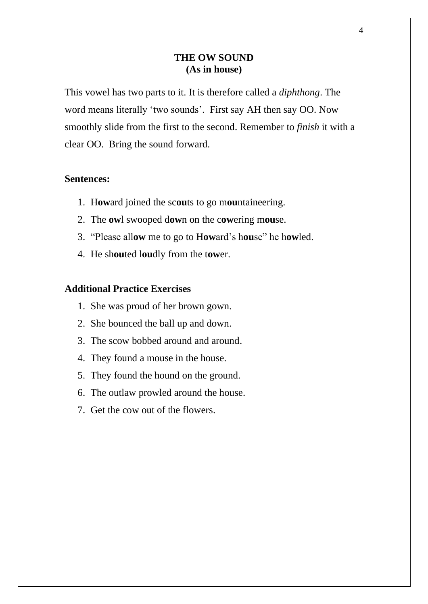# **THE OW SOUND (As in house)**

This vowel has two parts to it. It is therefore called a *diphthong*. The word means literally 'two sounds'. First say AH then say OO. Now smoothly slide from the first to the second. Remember to *finish* it with a clear OO. Bring the sound forward.

### **Sentences:**

- 1. H**ow**ard joined the sc**ou**ts to go m**ou**ntaineering.
- 2. The **ow**l swooped d**ow**n on the c**ow**ering m**ou**se.
- 3. "Please all**ow** me to go to H**ow**ard's h**ou**se" he h**ow**led.
- 4. He sh**ou**ted l**ou**dly from the t**ow**er.

- 1. She was proud of her brown gown.
- 2. She bounced the ball up and down.
- 3. The scow bobbed around and around.
- 4. They found a mouse in the house.
- 5. They found the hound on the ground.
- 6. The outlaw prowled around the house.
- 7. Get the cow out of the flowers.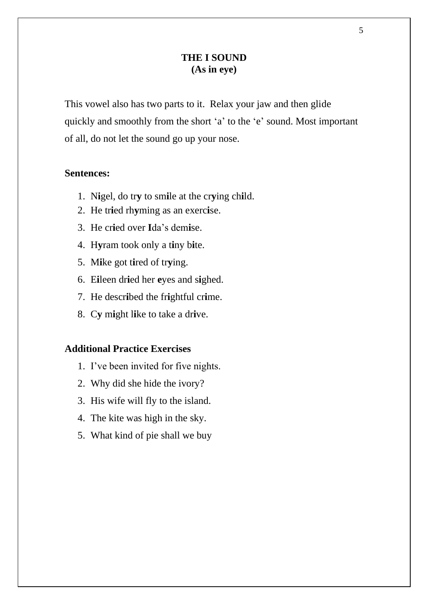# **THE I SOUND (As in eye)**

This vowel also has two parts to it. Relax your jaw and then glide quickly and smoothly from the short 'a' to the 'e' sound. Most important of all, do not let the sound go up your nose.

### **Sentences:**

- 1. N**i**gel, do tr**y** to sm**i**le at the cr**y**ing ch**i**ld.
- 2. He tr**i**ed rh**y**ming as an exerc**i**se.
- 3. He cr**i**ed over **I**da's dem**i**se.
- 4. H**y**ram took only a t**i**ny b**i**te.
- 5. M**i**ke got t**i**red of tr**y**ing.
- 6. E**i**leen dr**i**ed her **e**yes and s**i**ghed.
- 7. He descr**i**bed the fr**i**ghtful cr**i**me.
- 8. C**y** m**i**ght l**i**ke to take a dr**i**ve.

- 1. I've been invited for five nights.
- 2. Why did she hide the ivory?
- 3. His wife will fly to the island.
- 4. The kite was high in the sky.
- 5. What kind of pie shall we buy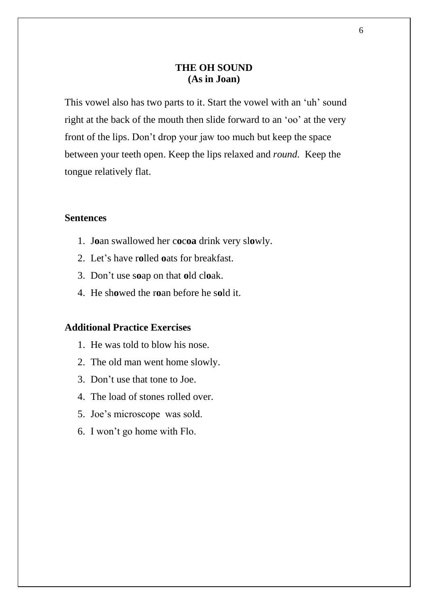# **THE OH SOUND (As in Joan)**

This vowel also has two parts to it. Start the vowel with an 'uh' sound right at the back of the mouth then slide forward to an 'oo' at the very front of the lips. Don't drop your jaw too much but keep the space between your teeth open. Keep the lips relaxed and *round.* Keep the tongue relatively flat.

### **Sentences**

- 1. J**o**an swallowed her c**o**c**oa** drink very sl**o**wly.
- 2. Let's have r**o**lled **o**ats for breakfast.
- 3. Don't use s**o**ap on that **o**ld cl**o**ak.
- 4. He sh**o**wed the r**o**an before he s**o**ld it.

- 1. He was told to blow his nose.
- 2. The old man went home slowly.
- 3. Don't use that tone to Joe.
- 4. The load of stones rolled over.
- 5. Joe's microscope was sold.
- 6. I won't go home with Flo.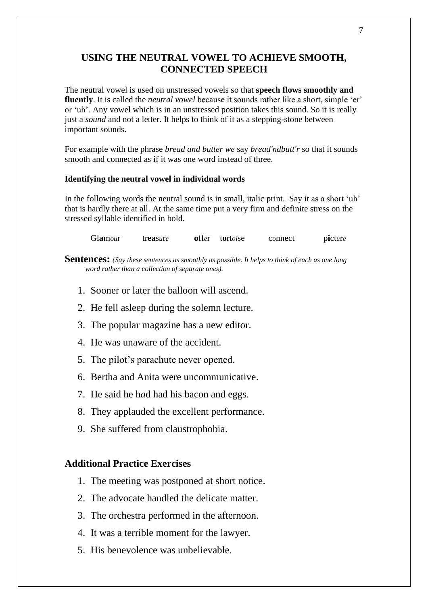# **USING THE NEUTRAL VOWEL TO ACHIEVE SMOOTH, CONNECTED SPEECH**

The neutral vowel is used on unstressed vowels so that **speech flows smoothly and fluently**. It is called the *neutral vowel* because it sounds rather like a short, simple 'er' or 'uh'. Any vowel which is in an unstressed position takes this sound. So it is really just a *sound* and not a letter. It helps to think of it as a stepping-stone between important sounds.

For example with the phrase *bread and butter we* say *bread'ndbutt'r* so that it sounds smooth and connected as if it was one word instead of three.

#### **Identifying the neutral vowel in individual words**

In the following words the neutral sound is in small, italic print. Say it as a short 'uh' that is hardly there at all. At the same time put a very firm and definite stress on the stressed syllable identified in bold.

Glamour treasure offer tortoise connect picture

**Sentences:** *(Say these sentences as smoothly as possible. It helps to think of each as one long word rather than a collection of separate ones).*

- 1. Sooner or later the balloon will ascend.
- 2. He fell asleep during the solemn lecture.
- 3. The popular magazine has a new editor.
- 4. He was unaware of the accident.
- 5. The pilot's parachute never opened.
- 6. Bertha and Anita were uncommunicative.
- 7. He said he h*a*d had his bacon and eggs.
- 8. They applauded the excellent performance.
- 9. She suffered from claustrophobia.

- 1. The meeting was postponed at short notice.
- 2. The advocate handled the delicate matter.
- 3. The orchestra performed in the afternoon.
- 4. It was a terrible moment for the lawyer.
- 5. His benevolence was unbelievable.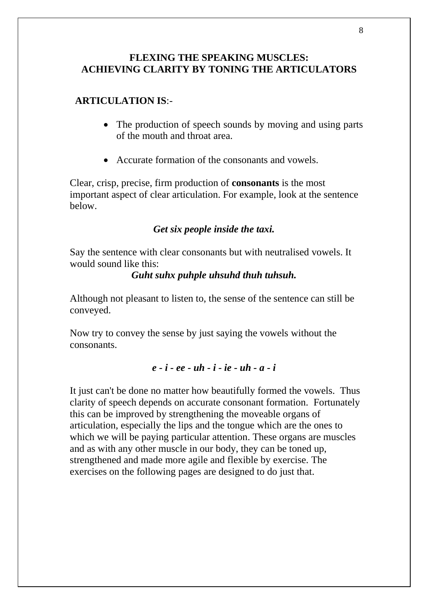# **FLEXING THE SPEAKING MUSCLES: ACHIEVING CLARITY BY TONING THE ARTICULATORS**

# **ARTICULATION IS**:-

- The production of speech sounds by moving and using parts of the mouth and throat area.
- Accurate formation of the consonants and vowels.

Clear, crisp, precise, firm production of **consonants** is the most important aspect of clear articulation. For example, look at the sentence below.

# *Get six people inside the taxi.*

Say the sentence with clear consonants but with neutralised vowels. It would sound like this:

### *Guht suhx puhple uhsuhd thuh tuhsuh.*

Although not pleasant to listen to, the sense of the sentence can still be conveyed.

Now try to convey the sense by just saying the vowels without the consonants.

### *e - i - ee - uh - i - ie - uh - a - i*

It just can't be done no matter how beautifully formed the vowels. Thus clarity of speech depends on accurate consonant formation. Fortunately this can be improved by strengthening the moveable organs of articulation, especially the lips and the tongue which are the ones to which we will be paying particular attention. These organs are muscles and as with any other muscle in our body, they can be toned up, strengthened and made more agile and flexible by exercise. The exercises on the following pages are designed to do just that.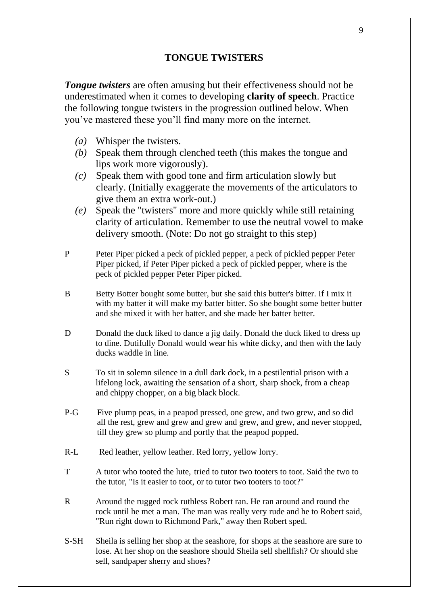# **TONGUE TWISTERS**

*Tongue twisters* are often amusing but their effectiveness should not be underestimated when it comes to developing **clarity of speech**. Practice the following tongue twisters in the progression outlined below. When you've mastered these you'll find many more on the internet.

- *(a)* Whisper the twisters.
- *(b)* Speak them through clenched teeth (this makes the tongue and lips work more vigorously).
- *(c)* Speak them with good tone and firm articulation slowly but clearly. (Initially exaggerate the movements of the articulators to give them an extra work-out.)
- *(e)* Speak the "twisters" more and more quickly while still retaining clarity of articulation. Remember to use the neutral vowel to make delivery smooth. (Note: Do not go straight to this step)
- P Peter Piper picked a peck of pickled pepper, a peck of pickled pepper Peter Piper picked, if Peter Piper picked a peck of pickled pepper, where is the peck of pickled pepper Peter Piper picked.
- B Betty Botter bought some butter, but she said this butter's bitter. If I mix it with my batter it will make my batter bitter. So she bought some better butter and she mixed it with her batter, and she made her batter better.
- D Donald the duck liked to dance a jig daily. Donald the duck liked to dress up to dine. Dutifully Donald would wear his white dicky, and then with the lady ducks waddle in line.
- S To sit in solemn silence in a dull dark dock, in a pestilential prison with a lifelong lock, awaiting the sensation of a short, sharp shock, from a cheap and chippy chopper, on a big black block.
- P-G Five plump peas, in a peapod pressed, one grew, and two grew, and so did all the rest, grew and grew and grew and grew, and grew, and never stopped, till they grew so plump and portly that the peapod popped.
- R-L Red leather, yellow leather. Red lorry, yellow lorry.
- T A tutor who tooted the lute, tried to tutor two tooters to toot. Said the two to the tutor, "Is it easier to toot, or to tutor two tooters to toot?"
- R Around the rugged rock ruthless Robert ran. He ran around and round the rock until he met a man. The man was really very rude and he to Robert said, "Run right down to Richmond Park," away then Robert sped.
- S-SH Sheila is selling her shop at the seashore, for shops at the seashore are sure to lose. At her shop on the seashore should Sheila sell shellfish? Or should she sell, sandpaper sherry and shoes?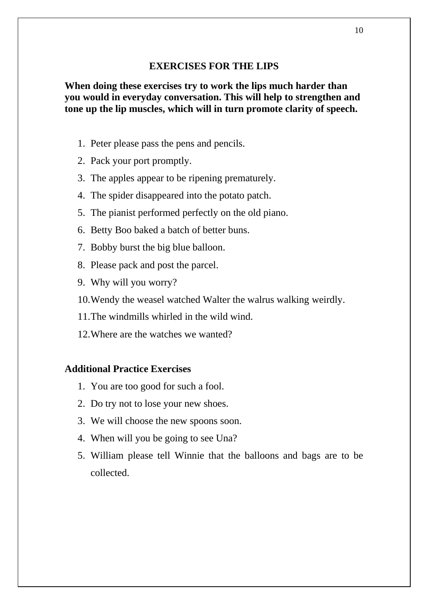### **EXERCISES FOR THE LIPS**

**When doing these exercises try to work the lips much harder than you would in everyday conversation. This will help to strengthen and tone up the lip muscles, which will in turn promote clarity of speech.**

- 1. Peter please pass the pens and pencils.
- 2. Pack your port promptly.
- 3. The apples appear to be ripening prematurely.
- 4. The spider disappeared into the potato patch.
- 5. The pianist performed perfectly on the old piano.
- 6. Betty Boo baked a batch of better buns.
- 7. Bobby burst the big blue balloon.
- 8. Please pack and post the parcel.
- 9. Why will you worry?
- 10.Wendy the weasel watched Walter the walrus walking weirdly.
- 11.The windmills whirled in the wild wind.
- 12.Where are the watches we wanted?

- 1. You are too good for such a fool.
- 2. Do try not to lose your new shoes.
- 3. We will choose the new spoons soon.
- 4. When will you be going to see Una?
- 5. William please tell Winnie that the balloons and bags are to be collected.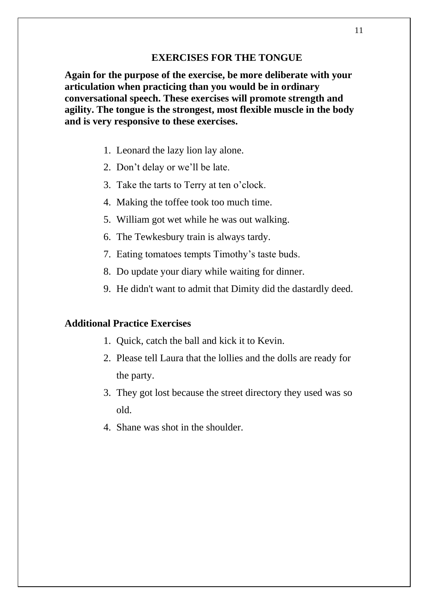#### **EXERCISES FOR THE TONGUE**

**Again for the purpose of the exercise, be more deliberate with your articulation when practicing than you would be in ordinary conversational speech. These exercises will promote strength and agility. The tongue is the strongest, most flexible muscle in the body and is very responsive to these exercises.** 

- 1. Leonard the lazy lion lay alone.
- 2. Don't delay or we'll be late.
- 3. Take the tarts to Terry at ten o'clock.
- 4. Making the toffee took too much time.
- 5. William got wet while he was out walking.
- 6. The Tewkesbury train is always tardy.
- 7. Eating tomatoes tempts Timothy's taste buds.
- 8. Do update your diary while waiting for dinner.
- 9. He didn't want to admit that Dimity did the dastardly deed.

- 1. Quick, catch the ball and kick it to Kevin.
- 2. Please tell Laura that the lollies and the dolls are ready for the party.
- 3. They got lost because the street directory they used was so old.
- 4. Shane was shot in the shoulder.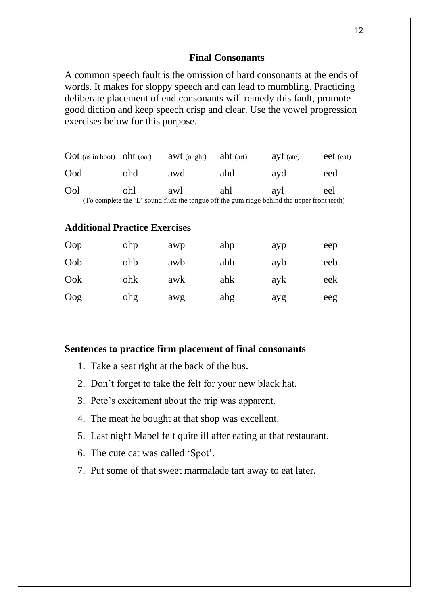#### **Final Consonants**

A common speech fault is the omission of hard consonants at the ends of words. It makes for sloppy speech and can lead to mumbling. Practicing deliberate placement of end consonants will remedy this fault, promote good diction and keep speech crisp and clear. Use the vowel progression exercises below for this purpose.

| $\text{Dot}$ (as in boot) $\text{ obt}$ (oat)                                               |     | awt (ought) | aht $(\text{art})$ | $ayt$ (ate) | eet (eat) |  |  |  |
|---------------------------------------------------------------------------------------------|-----|-------------|--------------------|-------------|-----------|--|--|--|
| Ood                                                                                         | ohd | awd         | ahd                | ayd         | eed       |  |  |  |
| Ool                                                                                         | ohl | awl         | ahl                | avl         | eel       |  |  |  |
| (To complete the 'L' sound flick the tongue off the gum ridge behind the upper front teeth) |     |             |                    |             |           |  |  |  |

# **Additional Practice Exercises**

| Oop | ohp | awp | ahp | ayp | eep |
|-----|-----|-----|-----|-----|-----|
| Oob | ohb | awb | ahb | ayb | eeb |
| Ook | ohk | awk | ahk | ayk | eek |
| Oog | ohg | awg | ahg | ayg | eeg |

#### **Sentences to practice firm placement of final consonants**

- 1. Take a seat right at the back of the bus.
- 2. Don't forget to take the felt for your new black hat.
- 3. Pete's excitement about the trip was apparent.
- 4. The meat he bought at that shop was excellent.
- 5. Last night Mabel felt quite ill after eating at that restaurant.
- 6. The cute cat was called 'Spot'.
- 7. Put some of that sweet marmalade tart away to eat later.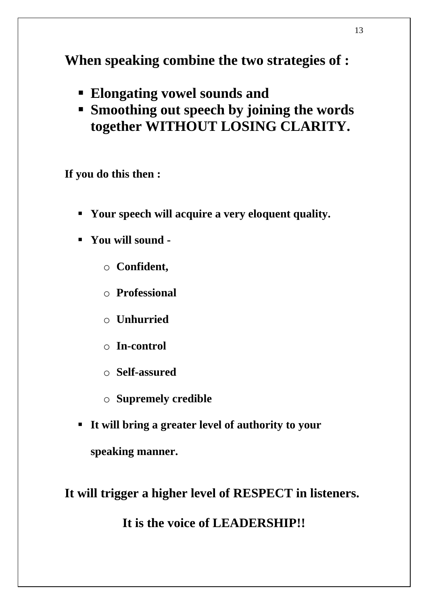**When speaking combine the two strategies of :**

- **Elongating vowel sounds and**
- **Smoothing out speech by joining the words together WITHOUT LOSING CLARITY.**

**If you do this then :**

- **Your speech will acquire a very eloquent quality.**
- **You will sound** 
	- o **Confident,**
	- o **Professional**
	- o **Unhurried**
	- o **In-control**
	- o **Self-assured**
	- o **Supremely credible**
- **It will bring a greater level of authority to your speaking manner.**

**It will trigger a higher level of RESPECT in listeners.** 

**It is the voice of LEADERSHIP!!**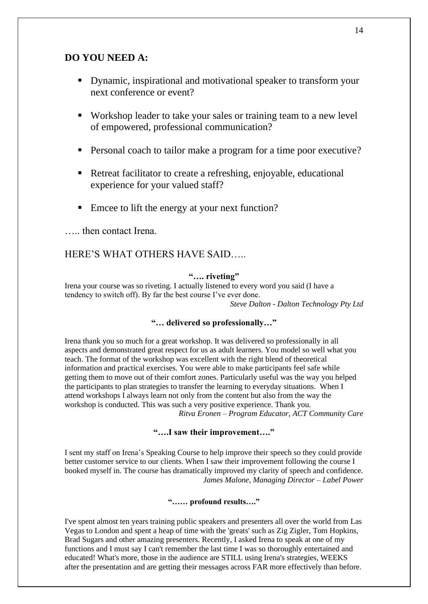### **DO YOU NEED A:**

- Dynamic, inspirational and motivational speaker to transform your next conference or event?
- Workshop leader to take your sales or training team to a new level of empowered, professional communication?
- Personal coach to tailor make a program for a time poor executive?
- Retreat facilitator to create a refreshing, enjoyable, educational experience for your valued staff?
- Emcee to lift the energy at your next function?

….. then contact Irena.

#### HERE'S WHAT OTHERS HAVE SAID…..

#### **"…. riveting"**

Irena your course was so riveting. I actually listened to every word you said (I have a tendency to switch off). By far the best course I've ever done.

*Steve Dalton - Dalton Technology Pty Ltd*

#### **"… delivered so professionally…"**

Irena thank you so much for a great workshop. It was delivered so professionally in all aspects and demonstrated great respect for us as adult learners. You model so well what you teach. The format of the workshop was excellent with the right blend of theoretical information and practical exercises. You were able to make participants feel safe while getting them to move out of their comfort zones. Particularly useful was the way you helped the participants to plan strategies to transfer the learning to everyday situations. When I attend workshops I always learn not only from the content but also from the way the workshop is conducted. This was such a very positive experience. Thank you. *Ritva Eronen – Program Educator, ACT Community Care*

#### **"….I saw their improvement…."**

I sent my staff on Irena's Speaking Course to help improve their speech so they could provide better customer service to our clients. When I saw their improvement following the course I booked myself in. The course has dramatically improved my clarity of speech and confidence. *James Malone, Managing Director – Label Power*

#### **"…… profound results…."**

I've spent almost ten years training public speakers and presenters all over the world from Las Vegas to London and spent a heap of time with the 'greats' such as Zig Zigler, Tom Hopkins, Brad Sugars and other amazing presenters. Recently, I asked Irena to speak at one of my functions and I must say I can't remember the last time I was so thoroughly entertained and educated! What's more, those in the audience are STILL using Irena's strategies, WEEKS after the presentation and are getting their messages across FAR more effectively than before.